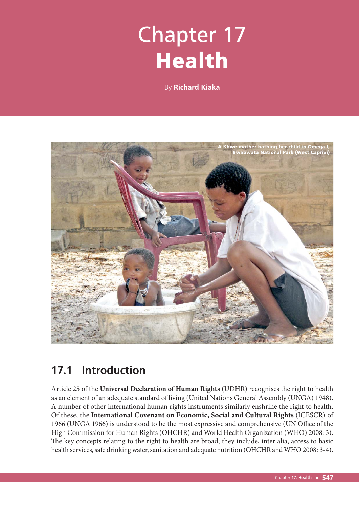# Chapter 17 Health

By **Richard Kiaka**



### **17.1 Introduction**

Article 25 of the **Universal Declaration of Human Rights** (UDHR) recognises the right to health as an element of an adequate standard of living (United Nations General Assembly (UNGA) 1948). A number of other international human rights instruments similarly enshrine the right to health. Of these, the **International Covenant on Economic, Social and Cultural Rights** (ICESCR) of 1966 (UNGA 1966) is understood to be the most expressive and comprehensive (UN Office of the High Commission for Human Rights (OHCHR) and World Health Organization (WHO) 2008: 3). The key concepts relating to the right to health are broad; they include, inter alia, access to basic health services, safe drinking water, sanitation and adequate nutrition (OHCHR and WHO 2008: 3-4).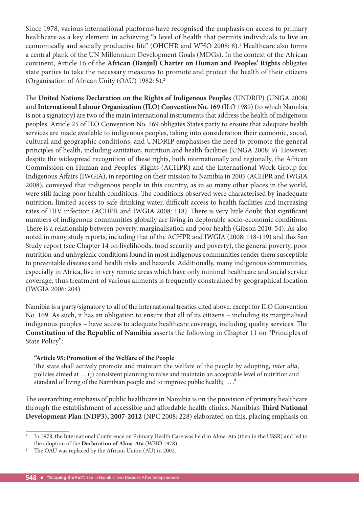Since 1978, various international platforms have recognised the emphasis on access to primary healthcare as a key element in achieving "a level of health that permits individuals to live an economically and socially productive life" (OHCHR and WHO 2008: 8).<sup>1</sup> Healthcare also forms a central plank of the UN Millennium Development Goals (MDGs). In the context of the African continent, Article 16 of the **African (Banjul) Charter on Human and Peoples' Rights** obligates state parties to take the necessary measures to promote and protect the health of their citizens (Organisation of African Unity (OAU) 1982: 5).2

The United Nations Declaration on the Rights of Indigenous Peoples (UNDRIP) (UNGA 2008) and **International Labour Organization (ILO) Convention No. 169** (ILO 1989) (to which Namibia is not a signatory) are two of the main international instruments that address the health of indigenous peoples. Article 25 of ILO Convention No. 169 obligates States party to ensure that adequate health services are made available to indigenous peoples, taking into consideration their economic, social, cultural and geographic conditions, and UNDRIP emphasises the need to promote the general principles of health, including sanitation, nutrition and health facilities (UNGA 2008: 9). However, despite the widespread recognition of these rights, both internationally and regionally, the African Commission on Human and Peoples' Rights (ACHPR) and the International Work Group for Indigenous Affairs (IWGIA), in reporting on their mission to Namibia in 2005 (ACHPR and IWGIA 2008), conveyed that indigenous people in this country, as in so many other places in the world, were still facing poor health conditions. The conditions observed were characterised by inadequate nutrition, limited access to safe drinking water, difficult access to health facilities and increasing rates of HIV infection (ACHPR and IWGIA 2008: 118). There is very little doubt that significant numbers of indigenous communities globally are living in deplorable socio-economic conditions. There is a relationship between poverty, marginalisation and poor health (Gibson 2010: 54). As also noted in many study reports, including that of the ACHPR and IWGIA (2008: 118-119) and this San Study report (see Chapter 14 on livelihoods, food security and poverty), the general poverty, poor nutrition and unhygienic conditions found in most indigenous communities render them susceptible to preventable diseases and health risks and hazards. Additionally, many indigenous communities, especially in Africa, live in very remote areas which have only minimal healthcare and social service coverage, thus treatment of various ailments is frequently constrained by geographical location (IWGIA 2006: 204).

Namibia is a party/signatory to all of the international treaties cited above, except for ILO Convention No. 169. As such, it has an obligation to ensure that all of its citizens – including its marginalised indigenous peoples – have access to adequate healthcare coverage, including quality services. The **Constitution of the Republic of Namibia** asserts the following in Chapter 11 on "Principles of State Policy":

#### **"Article 95: Promotion of the Welfare of the People**

The state shall actively promote and maintain the welfare of the people by adopting, *inter alia*, policies aimed at … (j) consistent planning to raise and maintain an acceptable level of nutrition and standard of living of the Namibian people and to improve public health; ...."

The overarching emphasis of public healthcare in Namibia is on the provision of primary healthcare through the establishment of accessible and affordable health clinics. Namibia's Third National **Development Plan (NDP3), 2007-2012** (NPC 2008: 228) elaborated on this, placing emphasis on

<sup>1</sup> In 1978, the International Conference on Primary Health Care was held in Alma-Ata (then in the USSR) and led to the adoption of the **Declaration of Alma-Ata** (WHO 1978). 2

The OAU was replaced by the African Union (AU) in 2002.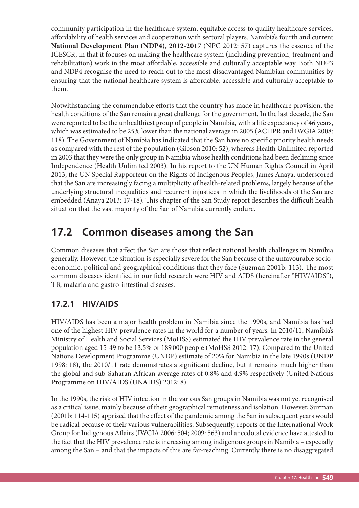community participation in the healthcare system, equitable access to quality healthcare services, affordability of health services and cooperation with sectoral players. Namibia's fourth and current **National Development Plan (NDP4), 2012-2017** (NPC 2012: 57) captures the essence of the ICESCR, in that it focuses on making the healthcare system (including prevention, treatment and rehabilitation) work in the most affordable, accessible and culturally acceptable way. Both NDP3 and NDP4 recognise the need to reach out to the most disadvantaged Namibian communities by ensuring that the national healthcare system is affordable, accessible and culturally acceptable to them.

Notwithstanding the commendable efforts that the country has made in healthcare provision, the health conditions of the San remain a great challenge for the government. In the last decade, the San were reported to be the unhealthiest group of people in Namibia, with a life expectancy of 46 years, which was estimated to be 25% lower than the national average in 2005 (ACHPR and IWGIA 2008: 118). The Government of Namibia has indicated that the San have no specific priority health needs as compared with the rest of the population (Gibson 2010: 52), whereas Health Unlimited reported in 2003 that they were the only group in Namibia whose health conditions had been declining since Independence (Health Unlimited 2003). In his report to the UN Human Rights Council in April 2013, the UN Special Rapporteur on the Rights of Indigenous Peoples, James Anaya, underscored that the San are increasingly facing a multiplicity of health-related problems, largely because of the underlying structural inequalities and recurrent injustices in which the livelihoods of the San are embedded (Anaya 2013: 17-18). This chapter of the San Study report describes the difficult health situation that the vast majority of the San of Namibia currently endure.

### **17.2 Common diseases among the San**

Common diseases that affect the San are those that reflect national health challenges in Namibia generally. However, the situation is especially severe for the San because of the unfavourable socioeconomic, political and geographical conditions that they face (Suzman 2001b: 113). The most common diseases identified in our field research were HIV and AIDS (hereinafter "HIV/AIDS"), TB, malaria and gastro-intestinal diseases.

#### **17.2.1 HIV/AIDS**

HIV/AIDS has been a major health problem in Namibia since the 1990s, and Namibia has had one of the highest HIV prevalence rates in the world for a number of years. In 2010/11, Namibia's Ministry of Health and Social Services (MoHSS) estimated the HIV prevalence rate in the general population aged 15-49 to be 13.5% or 189 000 people (MoHSS 2012: 17). Compared to the United Nations Development Programme (UNDP) estimate of 20% for Namibia in the late 1990s (UNDP 1998: 18), the 2010/11 rate demonstrates a significant decline, but it remains much higher than the global and sub-Saharan African average rates of 0.8% and 4.9% respectively (United Nations Programme on HIV/AIDS (UNAIDS) 2012: 8).

In the 1990s, the risk of HIV infection in the various San groups in Namibia was not yet recognised as a critical issue, mainly because of their geographical remoteness and isolation. However, Suzman (2001b: 114-115) apprised that the effect of the pandemic among the San in subsequent years would be radical because of their various vulnerabilities. Subsequently, reports of the International Work Group for Indigenous Affairs (IWGIA 2006: 504; 2009: 563) and anecdotal evidence have attested to the fact that the HIV prevalence rate is increasing among indigenous groups in Namibia – especially among the San – and that the impacts of this are far-reaching. Currently there is no disaggregated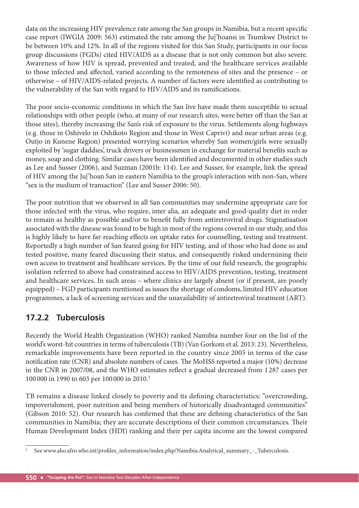data on the increasing HIV prevalence rate among the San groups in Namibia, but a recent specific case report (IWGIA 2009: 563) estimated the rate among the Ju|'hoansi in Tsumkwe District to be between 10% and 12%. In all of the regions visited for this San Study, participants in our focus group discussions (FGDs) cited HIV/AIDS as a disease that is not only common but also severe. Awareness of how HIV is spread, prevented and treated, and the healthcare services available to those infected and affected, varied according to the remoteness of sites and the presence – or otherwise - of HIV/AIDS-related projects. A number of factors were identified as contributing to the vulnerability of the San with regard to HIV/AIDS and its ramifications.

The poor socio-economic conditions in which the San live have made them susceptible to sexual relationships with other people (who, at many of our research sites, were better off than the San at those sites), thereby increasing the San's risk of exposure to the virus. Settlements along highways (e.g. those in Oshivelo in Oshikoto Region and those in West Caprivi) and near urban areas (e.g. Outjo in Kunene Region) presented worrying scenarios whereby San women/girls were sexually exploited by 'sugar daddies', truck drivers or businessmen in exchange for material benefits such as money, soap and clothing. Similar cases have been identified and documented in other studies such as Lee and Susser (2006), and Suzman (2001b: 114). Lee and Susser, for example, link the spread of HIV among the Ju|'hoan San in eastern Namibia to the group's interaction with non-San, where "sex is the medium of transaction" (Lee and Susser 2006: 50).

The poor nutrition that we observed in all San communities may undermine appropriate care for those infected with the virus, who require, inter alia, an adequate and good-quality diet in order to remain as healthy as possible and/or to benefit fully from antiretroviral drugs. Stigmatisation associated with the disease was found to be high in most of the regions covered in our study, and this is highly likely to have far-reaching effects on uptake rates for counselling, testing and treatment. Reportedly a high number of San feared going for HIV testing, and of those who had done so and tested positive, many feared discussing their status, and consequently risked undermining their own access to treatment and healthcare services. By the time of our field research, the geographic isolation referred to above had constrained access to HIV/AIDS prevention, testing, treatment and healthcare services. In such areas – where clinics are largely absent (or if present, are poorly equipped) – FGD participants mentioned as issues the shortage of condoms, limited HIV education programmes, a lack of screening services and the unavailability of antiretroviral treatment (ART).

#### **17.2.2 Tuberculosis**

Recently the World Health Organization (WHO) ranked Namibia number four on the list of the world's worst-hit countries in terms of tuberculosis (TB) (Van Gorkom et al. 2013: 23). Nevertheless, remarkable improvements have been reported in the country since 2005 in terms of the case notification rate (CNR) and absolute numbers of cases. The MoHSS reported a major (10%) decrease in the CNR in 2007/08, and the WHO estimates reflect a gradual decreased from 1287 cases per 100 000 in 1990 to 603 per 100 000 in 2010.3

TB remains a disease linked closely to poverty and its defining characteristics: "overcrowding, impoverishment, poor nutrition and being members of historically disadvantaged communities" (Gibson 2010: 52). Our research has confirmed that these are defining characteristics of the San communities in Namibia; they are accurate descriptions of their common circumstances. Their Human Development Index (HDI) ranking and their per capita income are the lowest compared

<sup>3</sup> See www.aho.afro.who.int/profiles\_information/index.php/Namibia:Analytical\_summary\_-\_Tuberculosis.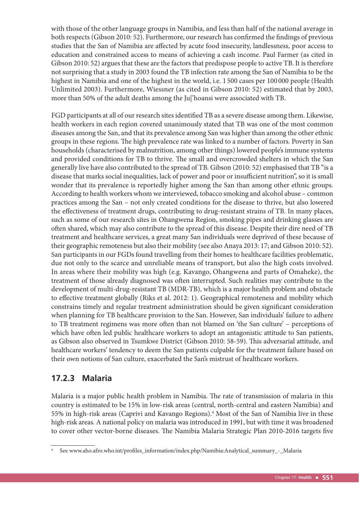with those of the other language groups in Namibia, and less than half of the national average in both respects (Gibson 2010: 52). Furthermore, our research has confirmed the findings of previous studies that the San of Namibia are affected by acute food insecurity, landlessness, poor access to education and constrained access to means of achieving a cash income. Paul Farmer (as cited in Gibson 2010: 52) argues that these are the factors that predispose people to active TB. It is therefore not surprising that a study in 2003 found the TB infection rate among the San of Namibia to be the highest in Namibia and one of the highest in the world, i.e. 1 500 cases per 100 000 people (Health Unlimited 2003). Furthermore, Wiessner (as cited in Gibson 2010: 52) estimated that by 2003, more than 50% of the adult deaths among the Ju|'hoansi were associated with TB.

FGD participants at all of our research sites identified TB as a severe disease among them. Likewise, health workers in each region covered unanimously stated that TB was one of the most common diseases among the San, and that its prevalence among San was higher than among the other ethnic groups in these regions. The high prevalence rate was linked to a number of factors. Poverty in San households (characterised by malnutrition, among other things) lowered people's immune systems and provided conditions for TB to thrive. The small and overcrowded shelters in which the San generally live have also contributed to the spread of TB. Gibson (2010: 52) emphasised that TB "is a disease that marks social inequalities, lack of power and poor or insufficient nutrition", so it is small wonder that its prevalence is reportedly higher among the San than among other ethnic groups. According to health workers whom we interviewed, tobacco smoking and alcohol abuse – common practices among the San – not only created conditions for the disease to thrive, but also lowered the effectiveness of treatment drugs, contributing to drug-resistant strains of TB. In many places, such as some of our research sites in Ohangwena Region, smoking pipes and drinking glasses are often shared, which may also contribute to the spread of this disease. Despite their dire need of TB treatment and healthcare services, a great many San individuals were deprived of these because of their geographic remoteness but also their mobility (see also Anaya 2013: 17; and Gibson 2010: 52). San participants in our FGDs found travelling from their homes to healthcare facilities problematic, due not only to the scarce and unreliable means of transport, but also the high costs involved. In areas where their mobility was high (e.g. Kavango, Ohangwena and parts of Omaheke), the treatment of those already diagnosed was often interrupted. Such realities may contribute to the development of multi-drug-resistant TB (MDR-TB), which is a major health problem and obstacle to effective treatment globally (Riks et al. 2012: 1). Geographical remoteness and mobility which constrains timely and regular treatment administration should be given significant consideration when planning for TB healthcare provision to the San. However, San individuals' failure to adhere to TB treatment regimens was more often than not blamed on 'the San culture' – perceptions of which have often led public healthcare workers to adopt an antagonistic attitude to San patients, as Gibson also observed in Tsumkwe District (Gibson 2010: 58-59). This adversarial attitude, and healthcare workers' tendency to deem the San patients culpable for the treatment failure based on their own notions of San culture, exacerbated the San's mistrust of healthcare workers.

#### **17.2.3 Malaria**

Malaria is a major public health problem in Namibia. The rate of transmission of malaria in this country is estimated to be 15% in low-risk areas (central, north-central and eastern Namibia) and 55% in high-risk areas (Caprivi and Kavango Regions).4 Most of the San of Namibia live in these high-risk areas. A national policy on malaria was introduced in 1991, but with time it was broadened to cover other vector-borne diseases. The Namibia Malaria Strategic Plan 2010-2016 targets five

<sup>4</sup> See www.aho.afro.who.int/profiles\_information/index.php/Namibia:Analytical\_summary\_-\_Malaria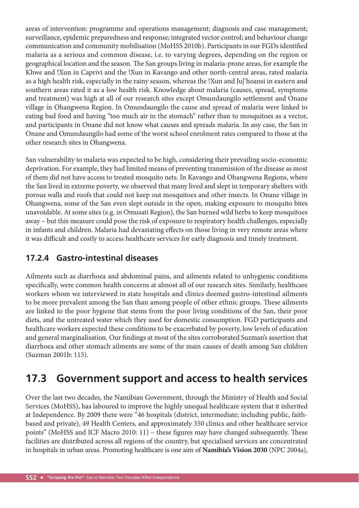areas of intervention: programme and operations management; diagnosis and case management; surveillance, epidemic preparedness and response; integrated vector control; and behaviour change communication and community mobilisation (MoHSS 2010b). Participants in our FGDs identified malaria as a serious and common disease, i.e. to varying degrees, depending on the region or geographical location and the season. The San groups living in malaria-prone areas, for example the Khwe and !Xun in Caprivi and the !Xun in Kavango and other north-central areas, rated malaria as a high health risk, especially in the rainy season, whereas the !Xun and Ju|'hoansi in eastern and southern areas rated it as a low health risk. Knowledge about malaria (causes, spread, symptoms and treatment) was high at all of our research sites except Omundaungilo settlement and Onane village in Ohangwena Region. In Omundaungilo the cause and spread of malaria were linked to eating bad food and having "too much air in the stomach" rather than to mosquitoes as a vector, and participants in Onane did not know what causes and spreads malaria. In any case, the San in Onane and Omundaungilo had some of the worst school enrolment rates compared to those at the other research sites in Ohangwena.

San vulnerability to malaria was expected to be high, considering their prevailing socio-economic deprivation. For example, they had limited means of preventing transmission of the disease as most of them did not have access to treated mosquito nets. In Kavango and Ohangwena Regions, where the San lived in extreme poverty, we observed that many lived and slept in temporary shelters with porous walls and roofs that could not keep out mosquitoes and other insects. In Onane village in Ohangwena, some of the San even slept outside in the open, making exposure to mosquito bites unavoidable. At some sites (e.g. in Omusati Region), the San burned wild herbs to keep mosquitoes away – but this measure could pose the risk of exposure to respiratory health challenges, especially in infants and children. Malaria had devastating effects on those living in very remote areas where it was difficult and costly to access healthcare services for early diagnosis and timely treatment.

#### **17.2.4 Gastro-intestinal diseases**

Ailments such as diarrhoea and abdominal pains, and ailments related to unhygienic conditions specifically, were common health concerns at almost all of our research sites. Similarly, healthcare workers whom we interviewed in state hospitals and clinics deemed gastro-intestinal ailments to be more prevalent among the San than among people of other ethnic groups. These ailments are linked to the poor hygiene that stems from the poor living conditions of the San, their poor diets, and the untreated water which they used for domestic consumption. FGD participants and healthcare workers expected these conditions to be exacerbated by poverty, low levels of education and general marginalisation. Our findings at most of the sites corroborated Suzman's assertion that diarrhoea and other stomach ailments are some of the main causes of death among San children (Suzman 2001b: 115).

### **17.3 Government support and access to health services**

Over the last two decades, the Namibian Government, through the Ministry of Health and Social Services (MoHSS), has laboured to improve the highly unequal healthcare system that it inherited at Independence. By 2009 there were "46 hospitals (district, intermediate; including public, faithbased and private), 49 Health Centers, and approximately 350 clinics and other healthcare service points" (MoHSS and ICF Macro 2010:  $11$ ) – these figures may have changed subsequently. These facilities are distributed across all regions of the country, but specialised services are concentrated in hospitals in urban areas. Promoting healthcare is one aim of **Namibia's Vision 2030** (NPC 2004a),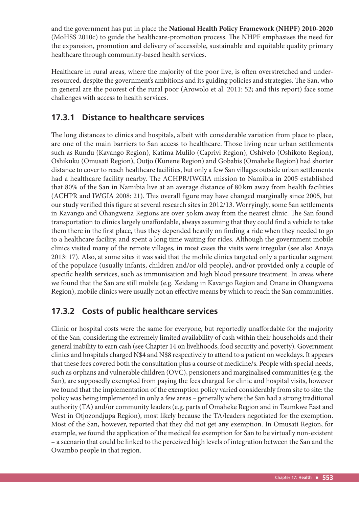and the government has put in place the **National Health Policy Framework (NHPF) 2010-2020** (MoHSS 2010c) to guide the healthcare-promotion process. The NHPF emphasises the need for the expansion, promotion and delivery of accessible, sustainable and equitable quality primary healthcare through community-based health services.

Healthcare in rural areas, where the majority of the poor live, is often overstretched and underresourced, despite the government's ambitions and its guiding policies and strategies. The San, who in general are the poorest of the rural poor (Arowolo et al. 2011: 52; and this report) face some challenges with access to health services.

#### **17.3.1 Distance to healthcare services**

The long distances to clinics and hospitals, albeit with considerable variation from place to place, are one of the main barriers to San access to healthcare. Those living near urban settlements such as Rundu (Kavango Region), Katima Mulilo (Caprivi Region), Oshivelo (Oshikoto Region), Oshikuku (Omusati Region), Outjo (Kunene Region) and Gobabis (Omaheke Region) had shorter distance to cover to reach healthcare facilities, but only a few San villages outside urban settlements had a healthcare facility nearby. The ACHPR/IWGIA mission to Namibia in 2005 established that 80% of the San in Namibia live at an average distance of 80 km away from health facilities (ACHPR and IWGIA 2008: 21). This overall figure may have changed marginally since 2005, but our study verified this figure at several research sites in 2012/13. Worryingly, some San settlements in Kavango and Ohangwena Regions are over 50 km away from the nearest clinic. The San found transportation to clinics largely unaffordable, always assuming that they could find a vehicle to take them there in the first place, thus they depended heavily on finding a ride when they needed to go to a healthcare facility, and spent a long time waiting for rides. Although the government mobile clinics visited many of the remote villages, in most cases the visits were irregular (see also Anaya 2013: 17). Also, at some sites it was said that the mobile clinics targeted only a particular segment of the populace (usually infants, children and/or old people), and/or provided only a couple of specific health services, such as immunisation and high blood pressure treatment. In areas where we found that the San are still mobile (e.g. Xeidang in Kavango Region and Onane in Ohangwena Region), mobile clinics were usually not an effective means by which to reach the San communities.

#### **17.3.2 Costs of public healthcare services**

Clinic or hospital costs were the same for everyone, but reportedly unaffordable for the majority of the San, considering the extremely limited availability of cash within their households and their general inability to earn cash (see Chapter 14 on livelihoods, food security and poverty). Government clinics and hospitals charged N\$4 and N\$8 respectively to attend to a patient on weekdays. It appears that these fees covered both the consultation plus a course of medicine/s. People with special needs, such as orphans and vulnerable children (OVC), pensioners and marginalised communities (e.g. the San), are supposedly exempted from paying the fees charged for clinic and hospital visits, however we found that the implementation of the exemption policy varied considerably from site to site: the policy was being implemented in only a few areas – generally where the San had a strong traditional authority (TA) and/or community leaders (e.g. parts of Omaheke Region and in Tsumkwe East and West in Otjozondjupa Region), most likely because the TA/leaders negotiated for the exemption. Most of the San, however, reported that they did not get any exemption. In Omusati Region, for example, we found the application of the medical fee exemption for San to be virtually non-existent – a scenario that could be linked to the perceived high levels of integration between the San and the Owambo people in that region.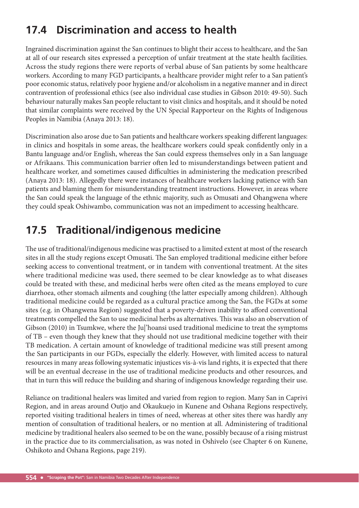## **17.4 Discrimination and access to health**

Ingrained discrimination against the San continues to blight their access to healthcare, and the San at all of our research sites expressed a perception of unfair treatment at the state health facilities. Across the study regions there were reports of verbal abuse of San patients by some healthcare workers. According to many FGD participants, a healthcare provider might refer to a San patient's poor economic status, relatively poor hygiene and/or alcoholism in a negative manner and in direct contravention of professional ethics (see also individual case studies in Gibson 2010: 49-50). Such behaviour naturally makes San people reluctant to visit clinics and hospitals, and it should be noted that similar complaints were received by the UN Special Rapporteur on the Rights of Indigenous Peoples in Namibia (Anaya 2013: 18).

Discrimination also arose due to San patients and healthcare workers speaking different languages: in clinics and hospitals in some areas, the healthcare workers could speak confidently only in a Bantu language and/or English, whereas the San could express themselves only in a San language or Afrikaans. This communication barrier often led to misunderstandings between patient and healthcare worker, and sometimes caused difficulties in administering the medication prescribed (Anaya 2013: 18). Allegedly there were instances of healthcare workers lacking patience with San patients and blaming them for misunderstanding treatment instructions. However, in areas where the San could speak the language of the ethnic majority, such as Omusati and Ohangwena where they could speak Oshiwambo, communication was not an impediment to accessing healthcare.

### **17.5 Traditional/indigenous medicine**

The use of traditional/indigenous medicine was practised to a limited extent at most of the research sites in all the study regions except Omusati. The San employed traditional medicine either before seeking access to conventional treatment, or in tandem with conventional treatment. At the sites where traditional medicine was used, there seemed to be clear knowledge as to what diseases could be treated with these, and medicinal herbs were often cited as the means employed to cure diarrhoea, other stomach ailments and coughing (the latter especially among children). Although traditional medicine could be regarded as a cultural practice among the San, the FGDs at some sites (e.g. in Ohangwena Region) suggested that a poverty-driven inability to afford conventional treatments compelled the San to use medicinal herbs as alternatives. This was also an observation of Gibson (2010) in Tsumkwe, where the Ju|'hoansi used traditional medicine to treat the symptoms of TB – even though they knew that they should not use traditional medicine together with their TB medication. A certain amount of knowledge of traditional medicine was still present among the San participants in our FGDs, especially the elderly. However, with limited access to natural resources in many areas following systematic injustices vis-à-vis land rights, it is expected that there will be an eventual decrease in the use of traditional medicine products and other resources, and that in turn this will reduce the building and sharing of indigenous knowledge regarding their use.

Reliance on traditional healers was limited and varied from region to region. Many San in Caprivi Region, and in areas around Outjo and Okaukuejo in Kunene and Oshana Regions respectively, reported visiting traditional healers in times of need, whereas at other sites there was hardly any mention of consultation of traditional healers, or no mention at all. Administering of traditional medicine by traditional healers also seemed to be on the wane, possibly because of a rising mistrust in the practice due to its commercialisation, as was noted in Oshivelo (see Chapter 6 on Kunene, Oshikoto and Oshana Regions, page 219).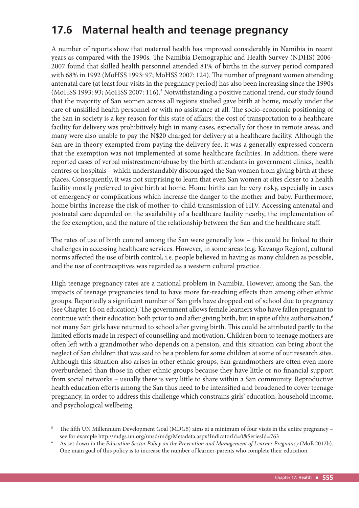### **17.6 Maternal health and teenage pregnancy**

A number of reports show that maternal health has improved considerably in Namibia in recent years as compared with the 1990s. The Namibia Demographic and Health Survey (NDHS) 2006-2007 found that skilled health personnel attended 81% of births in the survey period compared with 68% in 1992 (MoHSS 1993: 97; MoHSS 2007: 124). The number of pregnant women attending antenatal care (at least four visits in the pregnancy period) has also been increasing since the 1990s (MoHSS 1993: 93; MoHSS 2007: 116).<sup>5</sup> Notwithstanding a positive national trend, our study found that the majority of San women across all regions studied gave birth at home, mostly under the care of unskilled health personnel or with no assistance at all. The socio-economic positioning of the San in society is a key reason for this state of affairs: the cost of transportation to a healthcare facility for delivery was prohibitively high in many cases, especially for those in remote areas, and many were also unable to pay the N\$20 charged for delivery at a healthcare facility. Although the San are in theory exempted from paying the delivery fee, it was a generally expressed concern that the exemption was not implemented at some healthcare facilities. In addition, there were reported cases of verbal mistreatment/abuse by the birth attendants in government clinics, health centres or hospitals – which understandably discouraged the San women from giving birth at these places. Consequently, it was not surprising to learn that even San women at sites closer to a health facility mostly preferred to give birth at home. Home births can be very risky, especially in cases of emergency or complications which increase the danger to the mother and baby. Furthermore, home births increase the risk of mother-to-child transmission of HIV. Accessing antenatal and postnatal care depended on the availability of a healthcare facility nearby, the implementation of the fee exemption, and the nature of the relationship between the San and the healthcare staff.

The rates of use of birth control among the San were generally low – this could be linked to their challenges in accessing healthcare services. However, in some areas (e.g. Kavango Region), cultural norms affected the use of birth control, i.e. people believed in having as many children as possible, and the use of contraceptives was regarded as a western cultural practice.

High teenage pregnancy rates are a national problem in Namibia. However, among the San, the impacts of teenage pregnancies tend to have more far-reaching effects than among other ethnic groups. Reportedly a significant number of San girls have dropped out of school due to pregnancy (see Chapter 16 on education). The government allows female learners who have fallen pregnant to continue with their education both prior to and after giving birth, but in spite of this authorisation,<sup>6</sup> not many San girls have returned to school after giving birth. This could be attributed partly to the limited efforts made in respect of counselling and motivation. Children born to teenage mothers are often left with a grandmother who depends on a pension, and this situation can bring about the neglect of San children that was said to be a problem for some children at some of our research sites. Although this situation also arises in other ethnic groups, San grandmothers are often even more overburdened than those in other ethnic groups because they have little or no financial support from social networks – usually there is very little to share within a San community. Reproductive health education efforts among the San thus need to be intensified and broadened to cover teenage pregnancy, in order to address this challenge which constrains girls' education, household income, and psychological wellbeing.

<sup>5</sup> The fifth UN Millennium Development Goal (MDG5) aims at a minimum of four visits in the entire pregnancy – see for example http://mdgs.un.org/unsd/mdg/Metadata.aspx?IndicatorId=0&SeriesId=763 6

As set down in the *Education Sector Policy on the Prevention and Management of Learner Pregnancy* (MoE 2012b). One main goal of this policy is to increase the number of learner-parents who complete their education.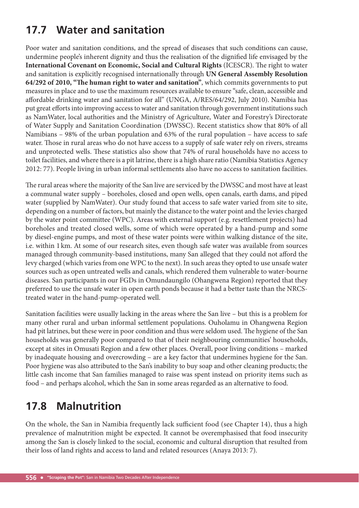### **17.7 Water and sanitation**

Poor water and sanitation conditions, and the spread of diseases that such conditions can cause, undermine people's inherent dignity and thus the realisation of the dignified life envisaged by the **International Covenant on Economic, Social and Cultural Rights** (ICESCR). The right to water and sanitation is explicitly recognised internationally through **UN General Assembly Resolution 64/292 of 2010, "The human right to water and sanitation"**, which commits governments to put measures in place and to use the maximum resources available to ensure "safe, clean, accessible and affordable drinking water and sanitation for all" (UNGA, A/RES/64/292, July 2010). Namibia has put great efforts into improving access to water and sanitation through government institutions such as NamWater, local authorities and the Ministry of Agriculture, Water and Forestry's Directorate of Water Supply and Sanitation Coordination (DWSSC). Recent statistics show that 80% of all Namibians – 98% of the urban population and 63% of the rural population – have access to safe water. Those in rural areas who do not have access to a supply of safe water rely on rivers, streams and unprotected wells. These statistics also show that 74% of rural households have no access to toilet facilities, and where there is a pit latrine, there is a high share ratio (Namibia Statistics Agency 2012: 77). People living in urban informal settlements also have no access to sanitation facilities.

The rural areas where the majority of the San live are serviced by the DWSSC and most have at least a communal water supply – boreholes, closed and open wells, open canals, earth dams, and piped water (supplied by NamWater). Our study found that access to safe water varied from site to site, depending on a number of factors, but mainly the distance to the water point and the levies charged by the water point committee (WPC). Areas with external support (e.g. resettlement projects) had boreholes and treated closed wells, some of which were operated by a hand-pump and some by diesel-engine pumps, and most of these water points were within walking distance of the site, i.e. within 1 km. At some of our research sites, even though safe water was available from sources managed through community-based institutions, many San alleged that they could not afford the levy charged (which varies from one WPC to the next). In such areas they opted to use unsafe water sources such as open untreated wells and canals, which rendered them vulnerable to water-bourne diseases. San participants in our FGDs in Omundaungilo (Ohangwena Region) reported that they preferred to use the unsafe water in open earth ponds because it had a better taste than the NRCStreated water in the hand-pump-operated well.

Sanitation facilities were usually lacking in the areas where the San live – but this is a problem for many other rural and urban informal settlement populations. Ouholamu in Ohangwena Region had pit latrines, but these were in poor condition and thus were seldom used. The hygiene of the San households was generally poor compared to that of their neighbouring communities' households, except at sites in Omusati Region and a few other places. Overall, poor living conditions – marked by inadequate housing and overcrowding – are a key factor that undermines hygiene for the San. Poor hygiene was also attributed to the San's inability to buy soap and other cleaning products; the little cash income that San families managed to raise was spent instead on priority items such as food – and perhaps alcohol, which the San in some areas regarded as an alternative to food.

### **17.8 Malnutrition**

On the whole, the San in Namibia frequently lack sufficient food (see Chapter 14), thus a high prevalence of malnutrition might be expected. It cannot be overemphasised that food insecurity among the San is closely linked to the social, economic and cultural disruption that resulted from their loss of land rights and access to land and related resources (Anaya 2013: 7).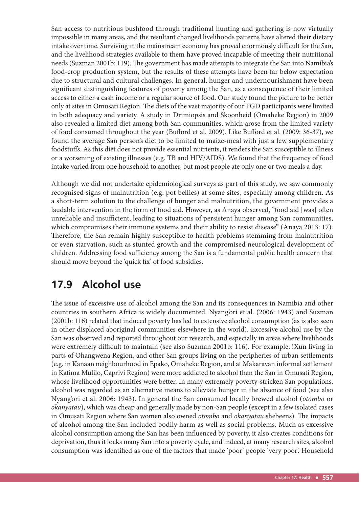San access to nutritious bushfood through traditional hunting and gathering is now virtually impossible in many areas, and the resultant changed livelihoods patterns have altered their dietary intake over time. Surviving in the mainstream economy has proved enormously difficult for the San, and the livelihood strategies available to them have proved incapable of meeting their nutritional needs (Suzman 2001b: 119). The government has made attempts to integrate the San into Namibia's food-crop production system, but the results of these attempts have been far below expectation due to structural and cultural challenges. In general, hunger and undernourishment have been significant distinguishing features of poverty among the San, as a consequence of their limited access to either a cash income or a regular source of food. Our study found the picture to be better only at sites in Omusati Region. The diets of the vast majority of our FGD participants were limited in both adequacy and variety. A study in Drimiopsis and Skoonheid (Omaheke Region) in 2009 also revealed a limited diet among both San communities, which arose from the limited variety of food consumed throughout the year (Bufford et al. 2009). Like Bufford et al. (2009: 36-37), we found the average San person's diet to be limited to maize-meal with just a few supplementary foodstuffs. As this diet does not provide essential nutrients, it renders the San susceptible to illness or a worsening of existing illnesses (e.g. TB and HIV/AIDS). We found that the frequency of food intake varied from one household to another, but most people ate only one or two meals a day.

Although we did not undertake epidemiological surveys as part of this study, we saw commonly recognised signs of malnutrition (e.g. pot bellies) at some sites, especially among children. As a short-term solution to the challenge of hunger and malnutrition, the government provides a laudable intervention in the form of food aid. However, as Anaya observed, "food aid [was] often unreliable and insufficient, leading to situations of persistent hunger among San communities, which compromises their immune systems and their ability to resist disease" (Anaya 2013: 17). Therefore, the San remain highly susceptible to health problems stemming from malnutrition or even starvation, such as stunted growth and the compromised neurological development of children. Addressing food sufficiency among the San is a fundamental public health concern that should move beyond the 'quick fix' of food subsidies.

### **17.9 Alcohol use**

The issue of excessive use of alcohol among the San and its consequences in Namibia and other countries in southern Africa is widely documented. Nyang'ori et al. (2006: 1943) and Suzman (2001b: 116) related that induced poverty has led to extensive alcohol consumption (as is also seen in other displaced aboriginal communities elsewhere in the world). Excessive alcohol use by the San was observed and reported throughout our research, and especially in areas where livelihoods were extremely difficult to maintain (see also Suzman 2001b: 116). For example, !Xun living in parts of Ohangwena Region, and other San groups living on the peripheries of urban settlements (e.g. in Kanaan neighbourhood in Epako, Omaheke Region, and at Makaravan informal settlement in Katima Mulilo, Caprivi Region) were more addicted to alcohol than the San in Omusati Region, whose livelihood opportunities were better. In many extremely poverty-stricken San populations, alcohol was regarded as an alternative means to alleviate hunger in the absence of food (see also Nyang'ori et al. 2006: 1943). In general the San consumed locally brewed alcohol (*otombo* or *okanyatau*), which was cheap and generally made by non-San people (except in a few isolated cases in Omusati Region where San women also owned *otombo* and *okanyatau* shebeens). The impacts of alcohol among the San included bodily harm as well as social problems. Much as excessive alcohol consumption among the San has been influenced by poverty, it also creates conditions for deprivation, thus it locks many San into a poverty cycle, and indeed, at many research sites, alcohol consumption was identified as one of the factors that made 'poor' people 'very poor'. Household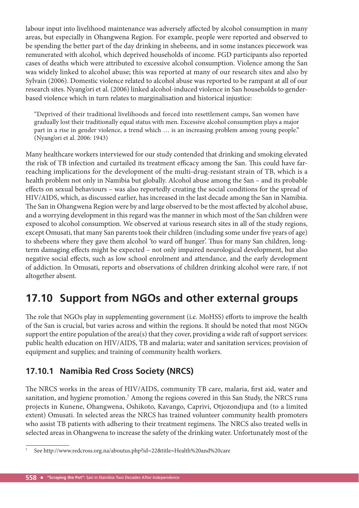labour input into livelihood maintenance was adversely affected by alcohol consumption in many areas, but especially in Ohangwena Region. For example, people were reported and observed to be spending the better part of the day drinking in shebeens, and in some instances piecework was remunerated with alcohol*,* which deprived households of income. FGD participants also reported cases of deaths which were attributed to excessive alcohol consumption. Violence among the San was widely linked to alcohol abuse; this was reported at many of our research sites and also by Sylvain (2006). Domestic violence related to alcohol abuse was reported to be rampant at all of our research sites. Nyang'ori et al. (2006) linked alcohol-induced violence in San households to genderbased violence which in turn relates to marginalisation and historical injustice:

"Deprived of their traditional livelihoods and forced into resettlement camps, San women have gradually lost their traditionally equal status with men. Excessive alcohol consumption plays a major part in a rise in gender violence, a trend which … is an increasing problem among young people." (Nyang'ori et al. 2006: 1943)

Many healthcare workers interviewed for our study contended that drinking and smoking elevated the risk of TB infection and curtailed its treatment efficacy among the San. This could have farreaching implications for the development of the multi-drug-resistant strain of TB, which is a health problem not only in Namibia but globally. Alcohol abuse among the San – and its probable effects on sexual behaviours – was also reportedly creating the social conditions for the spread of HIV/AIDS, which, as discussed earlier, has increased in the last decade among the San in Namibia. The San in Ohangwena Region were by and large observed to be the most affected by alcohol abuse, and a worrying development in this regard was the manner in which most of the San children were exposed to alcohol consumption. We observed at various research sites in all of the study regions, except Omusati, that many San parents took their children (including some under five years of age) to shebeens where they gave them alcohol 'to ward off hunger'. Thus for many San children, longterm damaging effects might be expected - not only impaired neurological development, but also negative social effects, such as low school enrolment and attendance, and the early development of addiction. In Omusati, reports and observations of children drinking alcohol were rare, if not altogether absent.

### **17.10 Support from NGOs and other external groups**

The role that NGOs play in supplementing government (i.e. MoHSS) efforts to improve the health of the San is crucial, but varies across and within the regions. It should be noted that most NGOs support the entire population of the area(s) that they cover, providing a wide raft of support services: public health education on HIV/AIDS, TB and malaria; water and sanitation services; provision of equipment and supplies; and training of community health workers.

#### **17.10.1 Namibia Red Cross Society (NRCS)**

The NRCS works in the areas of HIV/AIDS, community TB care, malaria, first aid, water and sanitation, and hygiene promotion.<sup>7</sup> Among the regions covered in this San Study, the NRCS runs projects in Kunene, Ohangwena, Oshikoto, Kavango, Caprivi, Otjozondjupa and (to a limited extent) Omusati. In selected areas the NRCS has trained volunteer community health promoters who assist TB patients with adhering to their treatment regimens. The NRCS also treated wells in selected areas in Ohangwena to increase the safety of the drinking water. Unfortunately most of the

<sup>7</sup> See http://www.redcross.org.na/aboutus.php?id=22&title=Health%20and%20care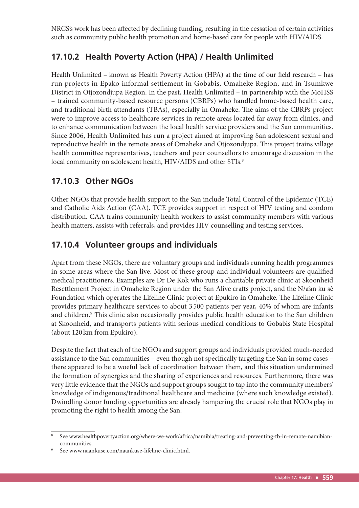NRCS's work has been affected by declining funding, resulting in the cessation of certain activities such as community public health promotion and home-based care for people with HIV/AIDS.

#### **17.10.2 Health Poverty Action (HPA) / Health Unlimited**

Health Unlimited – known as Health Poverty Action (HPA) at the time of our field research – has run projects in Epako informal settlement in Gobabis, Omaheke Region, and in Tsumkwe District in Otjozondjupa Region. In the past, Health Unlimited – in partnership with the MoHSS – trained community-based resource persons (CBRPs) who handled home-based health care, and traditional birth attendants (TBAs), especially in Omaheke. The aims of the CBRPs project were to improve access to healthcare services in remote areas located far away from clinics, and to enhance communication between the local health service providers and the San communities. Since 2006, Health Unlimited has run a project aimed at improving San adolescent sexual and reproductive health in the remote areas of Omaheke and Otjozondjupa. This project trains village health committee representatives, teachers and peer counsellors to encourage discussion in the local community on adolescent health, HIV/AIDS and other STIs.<sup>8</sup>

#### **17.10.3 Other NGOs**

Other NGOs that provide health support to the San include Total Control of the Epidemic (TCE) and Catholic Aids Action (CAA). TCE provides support in respect of HIV testing and condom distribution. CAA trains community health workers to assist community members with various health matters, assists with referrals, and provides HIV counselling and testing services.

#### **17.10.4 Volunteer groups and individuals**

Apart from these NGOs, there are voluntary groups and individuals running health programmes in some areas where the San live. Most of these group and individual volunteers are qualified medical practitioners. Examples are Dr De Kok who runs a charitable private clinic at Skoonheid Resettlement Project in Omaheke Region under the San Alive crafts project, and the N/a'an ku sê Foundation which operates the Lifeline Clinic project at Epukiro in Omaheke. The Lifeline Clinic provides primary healthcare services to about 3 500 patients per year, 40% of whom are infants and children.<sup>9</sup> This clinic also occasionally provides public health education to the San children at Skoonheid, and transports patients with serious medical conditions to Gobabis State Hospital (about 120 km from Epukiro).

Despite the fact that each of the NGOs and support groups and individuals provided much-needed assistance to the San communities – even though not specifically targeting the San in some cases – there appeared to be a woeful lack of coordination between them, and this situation undermined the formation of synergies and the sharing of experiences and resources. Furthermore, there was very little evidence that the NGOs and support groups sought to tap into the community members' knowledge of indigenous/traditional healthcare and medicine (where such knowledge existed). Dwindling donor funding opportunities are already hampering the crucial role that NGOs play in promoting the right to health among the San.

See www.healthpovertyaction.org/where-we-work/africa/namibia/treating-and-preventing-tb-in-remote-namibiancommunities.

<sup>9</sup> See www.naankuse.com/naankuse-lifeline-clinic.html.